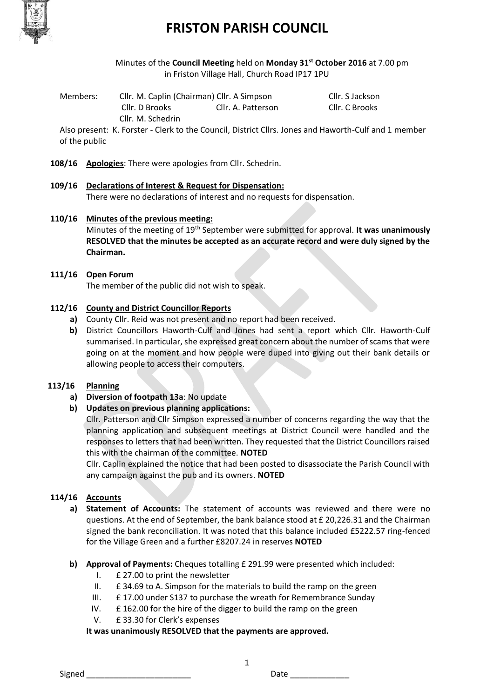

# **FRISTON PARISH COUNCIL**

Minutes of the **Council Meeting** held on **Monday 31st October 2016** at 7.00 pm in Friston Village Hall, Church Road IP17 1PU

Members: Cllr. M. Caplin (Chairman) Cllr. A Simpson Cllr. S Jackson Cllr. D Brooks Cllr. A. Patterson Cllr. C Brooks Cllr. M. Schedrin

Also present: K. Forster - Clerk to the Council, District Cllrs. Jones and Haworth-Culf and 1 member of the public

**108/16 Apologies**: There were apologies from Cllr. Schedrin.

- **109/16 Declarations of Interest & Request for Dispensation:** There were no declarations of interest and no requests for dispensation.
- **110/16 Minutes of the previous meeting:**

Minutes of the meeting of 19th September were submitted for approval. **It was unanimously RESOLVED that the minutes be accepted as an accurate record and were duly signed by the Chairman.**

**111/16 Open Forum**

The member of the public did not wish to speak.

### **112/16 County and District Councillor Reports**

- **a)** County Cllr. Reid was not present and no report had been received.
- **b)** District Councillors Haworth-Culf and Jones had sent a report which Cllr. Haworth-Culf summarised. In particular, she expressed great concern about the number of scams that were going on at the moment and how people were duped into giving out their bank details or allowing people to access their computers.

#### **113/16 Planning**

- **a) Diversion of footpath 13a**: No update
- **b) Updates on previous planning applications:**

Cllr. Patterson and Cllr Simpson expressed a number of concerns regarding the way that the planning application and subsequent meetings at District Council were handled and the responses to letters that had been written. They requested that the District Councillors raised this with the chairman of the committee. **NOTED**

Cllr. Caplin explained the notice that had been posted to disassociate the Parish Council with any campaign against the pub and its owners. **NOTED**

### **114/16 Accounts**

- **a) Statement of Accounts:** The statement of accounts was reviewed and there were no questions. At the end of September, the bank balance stood at £ 20,226.31 and the Chairman signed the bank reconciliation. It was noted that this balance included £5222.57 ring-fenced for the Village Green and a further £8207.24 in reserves **NOTED**
- **b) Approval of Payments:** Cheques totalling £ 291.99 were presented which included:
	- I. £ 27.00 to print the newsletter
	- II. £ 34.69 to A. Simpson for the materials to build the ramp on the green
	- III. £ 17.00 under S137 to purchase the wreath for Remembrance Sunday
	- IV. £ 162.00 for the hire of the digger to build the ramp on the green
	- V. £ 33.30 for Clerk's expenses

**It was unanimously RESOLVED that the payments are approved.**

1

Signed \_\_\_\_\_\_\_\_\_\_\_\_\_\_\_\_\_\_\_\_\_\_\_ Date \_\_\_\_\_\_\_\_\_\_\_\_\_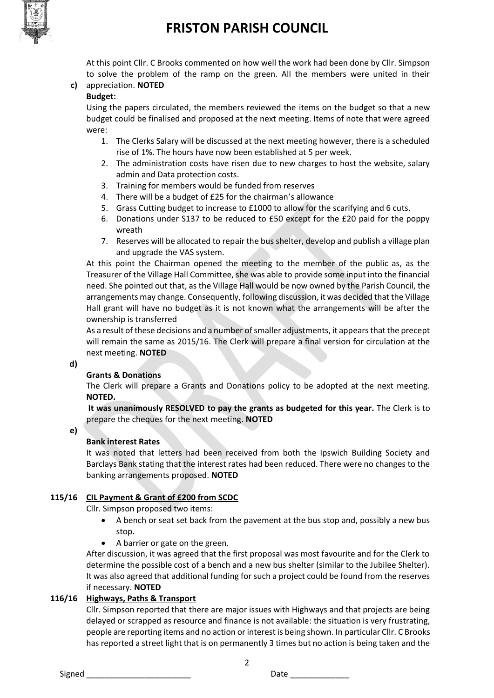

# **FRISTON PARISH COUNCIL**

At this point Cllr. C Brooks commented on how well the work had been done by Cllr. Simpson to solve the problem of the ramp on the green. All the members were united in their

# **c)** appreciation. **NOTED**

### **Budget:**

Using the papers circulated, the members reviewed the items on the budget so that a new budget could be finalised and proposed at the next meeting. Items of note that were agreed were:

- 1. The Clerks Salary will be discussed at the next meeting however, there is a scheduled rise of 1%. The hours have now been established at 5 per week.
- 2. The administration costs have risen due to new charges to host the website, salary admin and Data protection costs.
- 3. Training for members would be funded from reserves
- 4. There will be a budget of £25 for the chairman's allowance
- 5. Grass Cutting budget to increase to £1000 to allow for the scarifying and 6 cuts.
- 6. Donations under S137 to be reduced to £50 except for the £20 paid for the poppy wreath
- 7. Reserves will be allocated to repair the bus shelter, develop and publish a village plan and upgrade the VAS system.

At this point the Chairman opened the meeting to the member of the public as, as the Treasurer of the Village Hall Committee, she was able to provide some input into the financial need. She pointed out that, as the Village Hall would be now owned by the Parish Council, the arrangements may change. Consequently, following discussion, it was decided that the Village Hall grant will have no budget as it is not known what the arrangements will be after the ownership is transferred

As a result of these decisions and a number of smaller adjustments, it appears that the precept will remain the same as 2015/16. The Clerk will prepare a final version for circulation at the next meeting. **NOTED**

### **d)**

### **Grants & Donations**

The Clerk will prepare a Grants and Donations policy to be adopted at the next meeting. **NOTED.**

**It was unanimously RESOLVED to pay the grants as budgeted for this year.** The Clerk is to prepare the cheques for the next meeting. **NOTED**

**e)**

# **Bank interest Rates**

It was noted that letters had been received from both the Ipswich Building Society and Barclays Bank stating that the interest rates had been reduced. There were no changes to the banking arrangements proposed. **NOTED**

# **115/16 CIL Payment & Grant of £200 from SCDC**

Cllr. Simpson proposed two items:

- A bench or seat set back from the pavement at the bus stop and, possibly a new bus stop.
- A barrier or gate on the green.

After discussion, it was agreed that the first proposal was most favourite and for the Clerk to determine the possible cost of a bench and a new bus shelter (similar to the Jubilee Shelter). It was also agreed that additional funding for such a project could be found from the reserves if necessary. **NOTED**

# **116/16 Highways, Paths & Transport**

Cllr. Simpson reported that there are major issues with Highways and that projects are being delayed or scrapped as resource and finance is not available: the situation is very frustrating, people are reporting items and no action or interest is being shown. In particular Cllr. C Brooks has reported a street light that is on permanently 3 times but no action is being taken and the

2

Signed **Example 2** Date 2 Date 2 Date 2 Date 2 Date 2 Date 2 Date 2 Date 2 Date 2 Date 2 Date 2 Date 2 Date 2 Date 2 Date 2 Date 2 Date 2 Date 2 Date 2 Date 2 Date 2 Date 2 Date 2 Date 2 Date 2 Date 2 Date 2 Date 2 Date 2